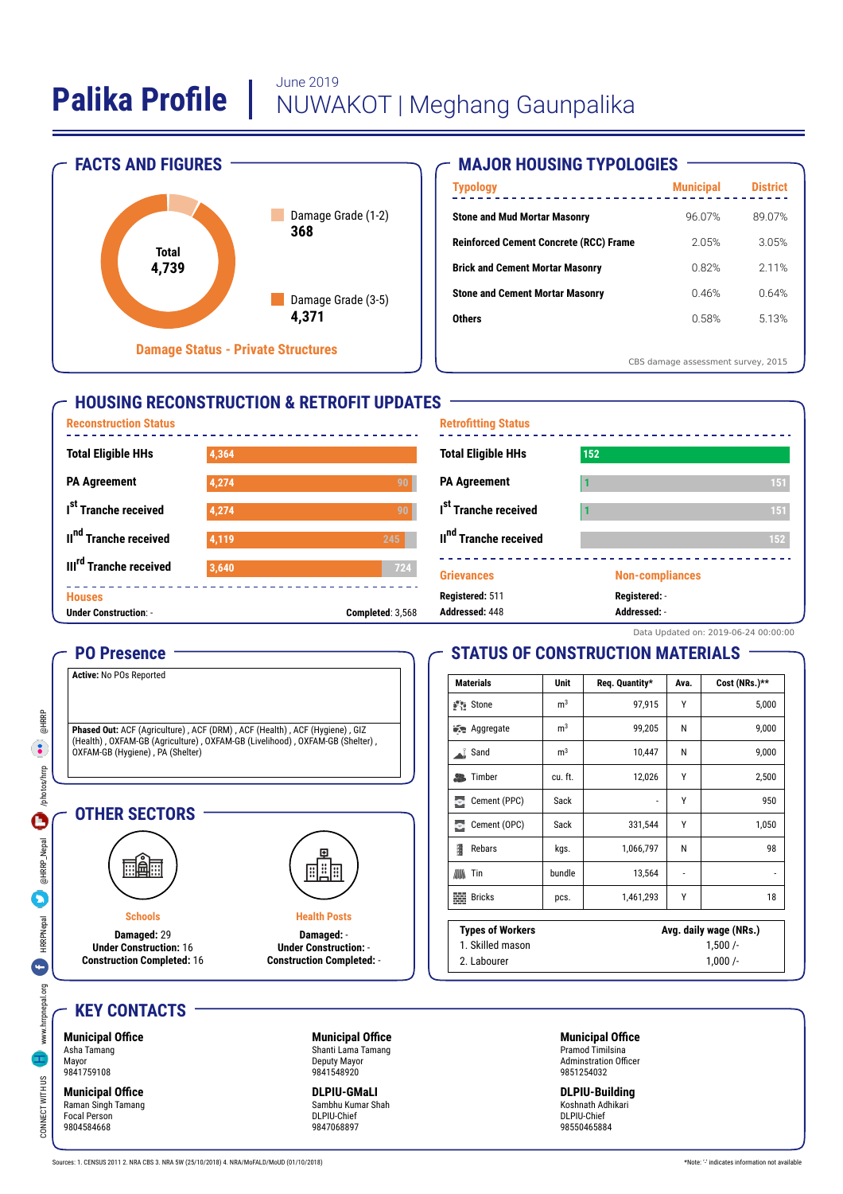# **Palika Profile** | June 2019<br>NUWAKOT | Meghang Gaunpalika



# **MAJOR HOUSING TYPOLOGIES**

| <b>Typology</b>                               | <b>Municipal</b>                   | <b>District</b> |
|-----------------------------------------------|------------------------------------|-----------------|
| <b>Stone and Mud Mortar Masonry</b>           | 96.07%                             | 89.07%          |
| <b>Reinforced Cement Concrete (RCC) Frame</b> | 2.05%                              | 3.05%           |
| <b>Brick and Cement Mortar Masonry</b>        | 0.82%                              | 2 1 1 %         |
| <b>Stone and Cement Mortar Masonry</b>        | 0.46%                              | 0.64%           |
| <b>Others</b>                                 | 0.58%                              | 5.13%           |
|                                               |                                    |                 |
|                                               | CBS damage assessment survey, 2015 |                 |

# **HOUSING RECONSTRUCTION & RETROFIT UPDATES**



#### **PO Presence**

**Active:** No POs Reported

**Phased Out:** ACF (Agriculture) , ACF (DRM) , ACF (Health) , ACF (Hygiene) , GIZ<br>(Health) , OXFAM-GB (Agriculture) , OXFAM-GB (Livelihood) , OXFAM-GB (Shelter) , OXFAM-GB (Hygiene) , PA (Shelter)

#### **OTHER SECTORS**



**Schools Damaged:** 29 **Under Construction:** 16 **Construction Completed:** 16



**Damaged:** - **Under Construction:** - **Construction Completed:** -

**Health Posts**

# **STATUS OF CONSTRUCTION MATERIALS**

| <b>Materials</b>            | Unit                   | Req. Quantity* | Ava. | Cost (NRs.)**            |
|-----------------------------|------------------------|----------------|------|--------------------------|
| Stone is                    | m <sup>3</sup>         | 97,915         | γ    | 5,000                    |
| <b>Redesigned</b> Aggregate | m <sup>3</sup>         | 99,205         | N    | 9,000                    |
| Sand<br>aľ.                 | m <sup>3</sup>         | 10,447         | N    | 9,000                    |
| Timber<br>品                 | cu. ft.                | 12,026         | γ    | 2,500                    |
| Ξ<br>Cement (PPC)           | Sack                   | ٠              | γ    | 950                      |
| Cement (OPC)<br>Ξ           | Sack                   | 331,544        | Υ    | 1,050                    |
| 1<br>Rebars                 | kgs.                   | 1,066,797      | N    | 98                       |
| Tin<br>胍                    | bundle                 | 13,564         | ٠    | $\overline{\phantom{a}}$ |
| 龞<br><b>Bricks</b>          | pcs.                   | 1,461,293      | γ    | 18                       |
| <b>Types of Workers</b>     | Avg. daily wage (NRs.) |                |      |                          |
| 1. Skilled mason            |                        | 1,500/         |      |                          |
| 2. Labourer                 |                        | $1,000/-$      |      |                          |

# **KEY CONTACTS**

#### **Municipal Office** Asha Tamang Mayor 9841759108

CONNECT WWW.hrrpnepal.org HRRPNepal and December 1999 and December 1999 and December 1999 and December 1999 and December 1999 and December 1999 and December 1999 and December 1999 and December 1999 and December 1999 and De

**HRRPNepal** 

G

www.hrrpnepal.org

 $\frac{8}{2}$ 

CONNECT WITH U

@HRRP  $\bullet$ 

photos/hrrp

 $\overline{\mathbf{C}}$ 

@HRRP\_Nepal

**Municipal Office** Raman Singh Tamang Focal Person 9804584668

**Municipal Office** Shanti Lama Tamang Deputy Mayor 9841548920

**DLPIU-GMaLI** Sambhu Kumar Shah DLPIU-Chief 9847068897

**Municipal Office** Pramod Timilsina Adminstration Officer 9851254032

**DLPIU-Building** Koshnath Adhikari DLPIU-Chief 98550465884